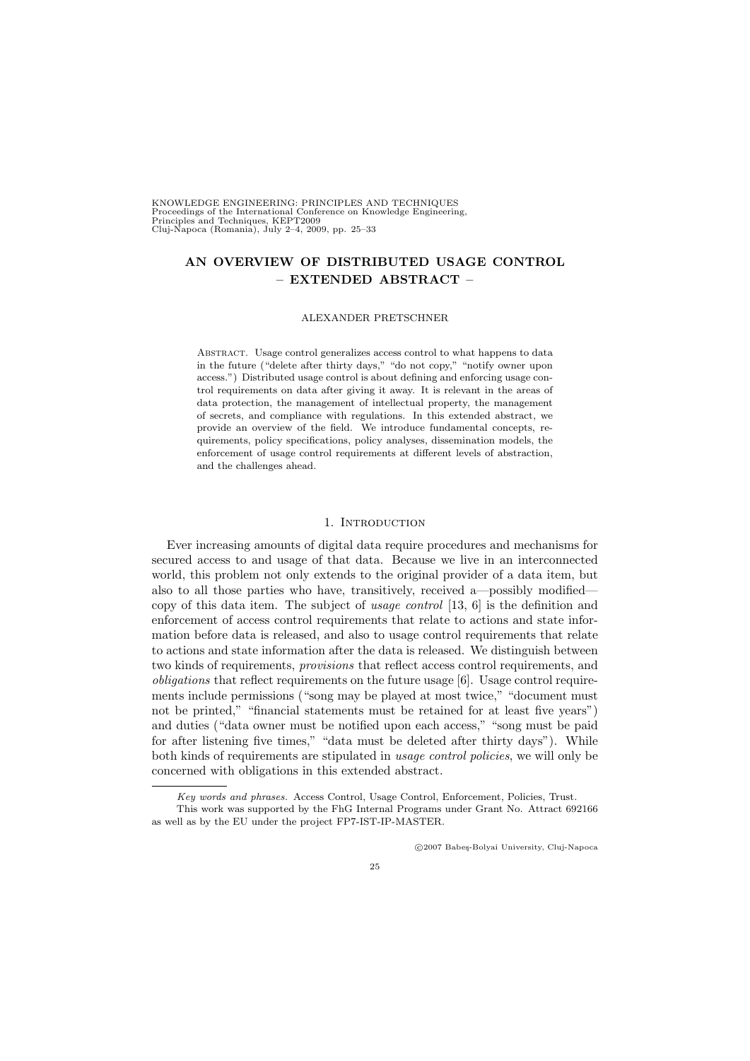KNOWLEDGE ENGINEERING: PRINCIPLES AND TECHNIQUES Proceedings of the International Conference on Knowledge Engineering, Principles and Techniques, KEPT2009 Cluj-Napoca (Romania), July 2–4, 2009, pp. 25–33

# AN OVERVIEW OF DISTRIBUTED USAGE CONTROL – EXTENDED ABSTRACT –

#### ALEXANDER PRETSCHNER

Abstract. Usage control generalizes access control to what happens to data in the future ("delete after thirty days," "do not copy," "notify owner upon access.") Distributed usage control is about defining and enforcing usage control requirements on data after giving it away. It is relevant in the areas of data protection, the management of intellectual property, the management of secrets, and compliance with regulations. In this extended abstract, we provide an overview of the field. We introduce fundamental concepts, requirements, policy specifications, policy analyses, dissemination models, the enforcement of usage control requirements at different levels of abstraction, and the challenges ahead.

### 1. INTRODUCTION

Ever increasing amounts of digital data require procedures and mechanisms for secured access to and usage of that data. Because we live in an interconnected world, this problem not only extends to the original provider of a data item, but also to all those parties who have, transitively, received a—possibly modified copy of this data item. The subject of usage control [13, 6] is the definition and enforcement of access control requirements that relate to actions and state information before data is released, and also to usage control requirements that relate to actions and state information after the data is released. We distinguish between two kinds of requirements, provisions that reflect access control requirements, and obligations that reflect requirements on the future usage [6]. Usage control requirements include permissions ("song may be played at most twice," "document must not be printed," "financial statements must be retained for at least five years") and duties ("data owner must be notified upon each access," "song must be paid for after listening five times," "data must be deleted after thirty days"). While both kinds of requirements are stipulated in usage control policies, we will only be concerned with obligations in this extended abstract.

c 2007 Babe¸s-Bolyai University, Cluj-Napoca

Key words and phrases. Access Control, Usage Control, Enforcement, Policies, Trust.

This work was supported by the FhG Internal Programs under Grant No. Attract 692166 as well as by the EU under the project FP7-IST-IP-MASTER.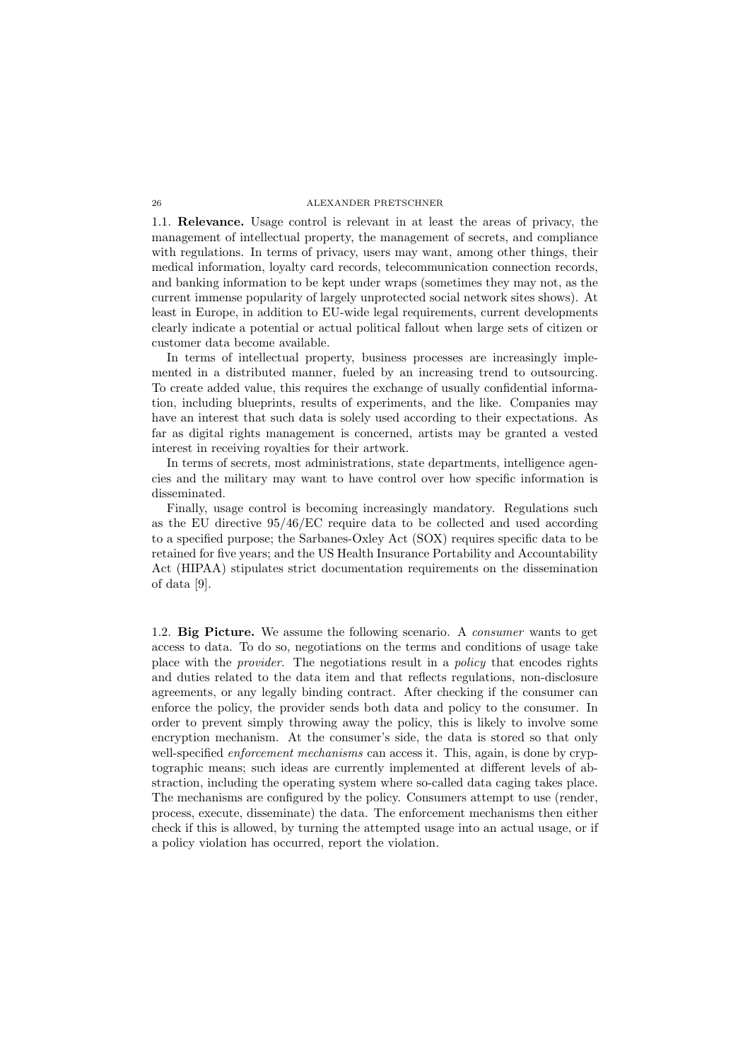1.1. Relevance. Usage control is relevant in at least the areas of privacy, the management of intellectual property, the management of secrets, and compliance with regulations. In terms of privacy, users may want, among other things, their medical information, loyalty card records, telecommunication connection records, and banking information to be kept under wraps (sometimes they may not, as the current immense popularity of largely unprotected social network sites shows). At least in Europe, in addition to EU-wide legal requirements, current developments clearly indicate a potential or actual political fallout when large sets of citizen or customer data become available.

In terms of intellectual property, business processes are increasingly implemented in a distributed manner, fueled by an increasing trend to outsourcing. To create added value, this requires the exchange of usually confidential information, including blueprints, results of experiments, and the like. Companies may have an interest that such data is solely used according to their expectations. As far as digital rights management is concerned, artists may be granted a vested interest in receiving royalties for their artwork.

In terms of secrets, most administrations, state departments, intelligence agencies and the military may want to have control over how specific information is disseminated.

Finally, usage control is becoming increasingly mandatory. Regulations such as the EU directive 95/46/EC require data to be collected and used according to a specified purpose; the Sarbanes-Oxley Act (SOX) requires specific data to be retained for five years; and the US Health Insurance Portability and Accountability Act (HIPAA) stipulates strict documentation requirements on the dissemination of data [9].

1.2. Big Picture. We assume the following scenario. A *consumer* wants to get access to data. To do so, negotiations on the terms and conditions of usage take place with the provider. The negotiations result in a policy that encodes rights and duties related to the data item and that reflects regulations, non-disclosure agreements, or any legally binding contract. After checking if the consumer can enforce the policy, the provider sends both data and policy to the consumer. In order to prevent simply throwing away the policy, this is likely to involve some encryption mechanism. At the consumer's side, the data is stored so that only well-specified *enforcement mechanisms* can access it. This, again, is done by cryptographic means; such ideas are currently implemented at different levels of abstraction, including the operating system where so-called data caging takes place. The mechanisms are configured by the policy. Consumers attempt to use (render, process, execute, disseminate) the data. The enforcement mechanisms then either check if this is allowed, by turning the attempted usage into an actual usage, or if a policy violation has occurred, report the violation.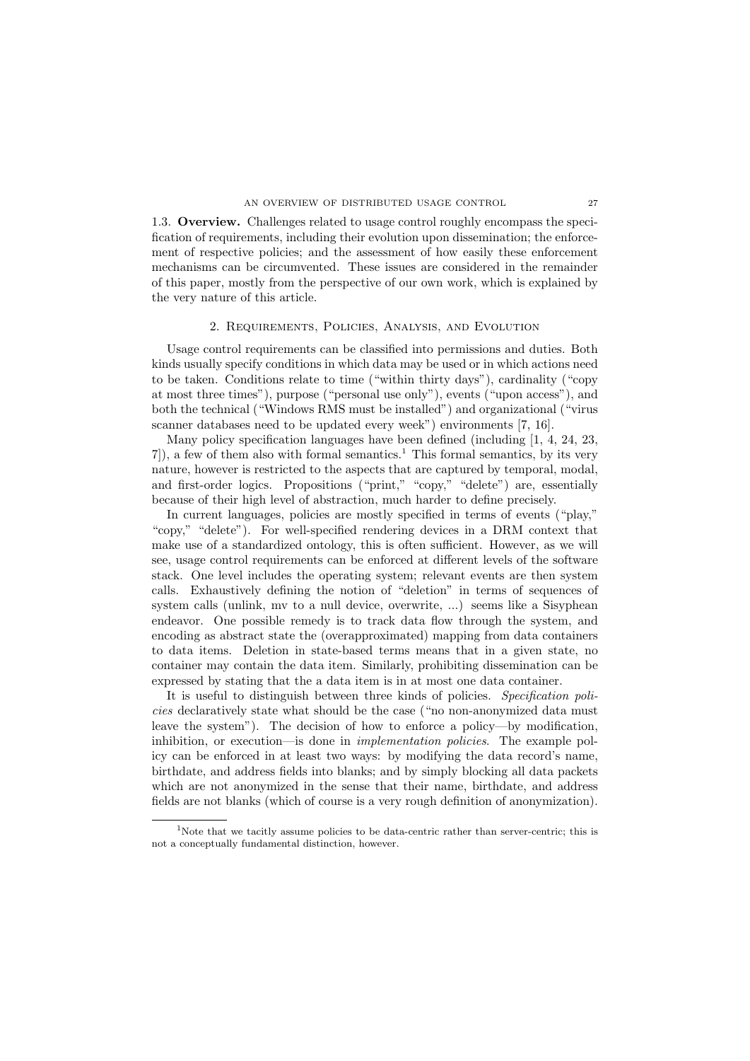1.3. Overview. Challenges related to usage control roughly encompass the specification of requirements, including their evolution upon dissemination; the enforcement of respective policies; and the assessment of how easily these enforcement mechanisms can be circumvented. These issues are considered in the remainder of this paper, mostly from the perspective of our own work, which is explained by the very nature of this article.

### 2. Requirements, Policies, Analysis, and Evolution

Usage control requirements can be classified into permissions and duties. Both kinds usually specify conditions in which data may be used or in which actions need to be taken. Conditions relate to time ("within thirty days"), cardinality ("copy at most three times"), purpose ("personal use only"), events ("upon access"), and both the technical ("Windows RMS must be installed") and organizational ("virus scanner databases need to be updated every week") environments [7, 16].

Many policy specification languages have been defined (including [1, 4, 24, 23,  $7$ ), a few of them also with formal semantics.<sup>1</sup> This formal semantics, by its very nature, however is restricted to the aspects that are captured by temporal, modal, and first-order logics. Propositions ("print," "copy," "delete") are, essentially because of their high level of abstraction, much harder to define precisely.

In current languages, policies are mostly specified in terms of events ("play," "copy," "delete"). For well-specified rendering devices in a DRM context that make use of a standardized ontology, this is often sufficient. However, as we will see, usage control requirements can be enforced at different levels of the software stack. One level includes the operating system; relevant events are then system calls. Exhaustively defining the notion of "deletion" in terms of sequences of system calls (unlink, mv to a null device, overwrite, ...) seems like a Sisyphean endeavor. One possible remedy is to track data flow through the system, and encoding as abstract state the (overapproximated) mapping from data containers to data items. Deletion in state-based terms means that in a given state, no container may contain the data item. Similarly, prohibiting dissemination can be expressed by stating that the a data item is in at most one data container.

It is useful to distinguish between three kinds of policies. Specification policies declaratively state what should be the case ("no non-anonymized data must leave the system"). The decision of how to enforce a policy—by modification, inhibition, or execution—is done in implementation policies. The example policy can be enforced in at least two ways: by modifying the data record's name, birthdate, and address fields into blanks; and by simply blocking all data packets which are not anonymized in the sense that their name, birthdate, and address fields are not blanks (which of course is a very rough definition of anonymization).

<sup>&</sup>lt;sup>1</sup>Note that we tacitly assume policies to be data-centric rather than server-centric; this is not a conceptually fundamental distinction, however.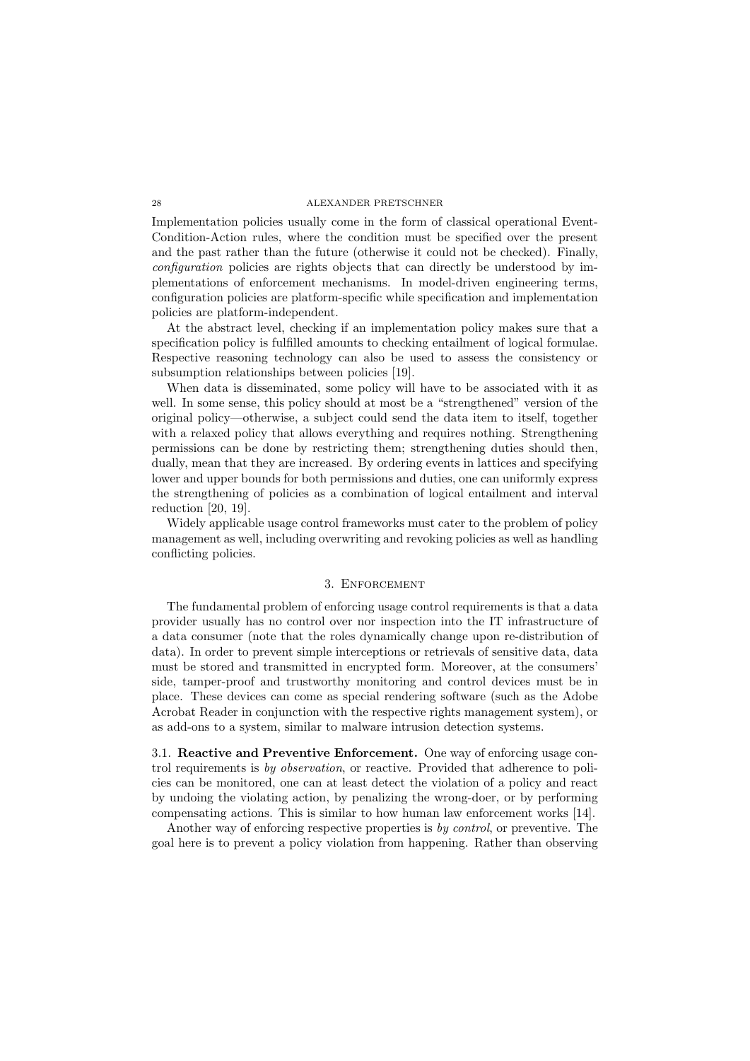Implementation policies usually come in the form of classical operational Event-Condition-Action rules, where the condition must be specified over the present and the past rather than the future (otherwise it could not be checked). Finally, configuration policies are rights objects that can directly be understood by implementations of enforcement mechanisms. In model-driven engineering terms, configuration policies are platform-specific while specification and implementation policies are platform-independent.

At the abstract level, checking if an implementation policy makes sure that a specification policy is fulfilled amounts to checking entailment of logical formulae. Respective reasoning technology can also be used to assess the consistency or subsumption relationships between policies [19].

When data is disseminated, some policy will have to be associated with it as well. In some sense, this policy should at most be a "strengthened" version of the original policy—otherwise, a subject could send the data item to itself, together with a relaxed policy that allows everything and requires nothing. Strengthening permissions can be done by restricting them; strengthening duties should then, dually, mean that they are increased. By ordering events in lattices and specifying lower and upper bounds for both permissions and duties, one can uniformly express the strengthening of policies as a combination of logical entailment and interval reduction [20, 19].

Widely applicable usage control frameworks must cater to the problem of policy management as well, including overwriting and revoking policies as well as handling conflicting policies.

## 3. Enforcement

The fundamental problem of enforcing usage control requirements is that a data provider usually has no control over nor inspection into the IT infrastructure of a data consumer (note that the roles dynamically change upon re-distribution of data). In order to prevent simple interceptions or retrievals of sensitive data, data must be stored and transmitted in encrypted form. Moreover, at the consumers' side, tamper-proof and trustworthy monitoring and control devices must be in place. These devices can come as special rendering software (such as the Adobe Acrobat Reader in conjunction with the respective rights management system), or as add-ons to a system, similar to malware intrusion detection systems.

3.1. Reactive and Preventive Enforcement. One way of enforcing usage control requirements is by observation, or reactive. Provided that adherence to policies can be monitored, one can at least detect the violation of a policy and react by undoing the violating action, by penalizing the wrong-doer, or by performing compensating actions. This is similar to how human law enforcement works [14].

Another way of enforcing respective properties is by control, or preventive. The goal here is to prevent a policy violation from happening. Rather than observing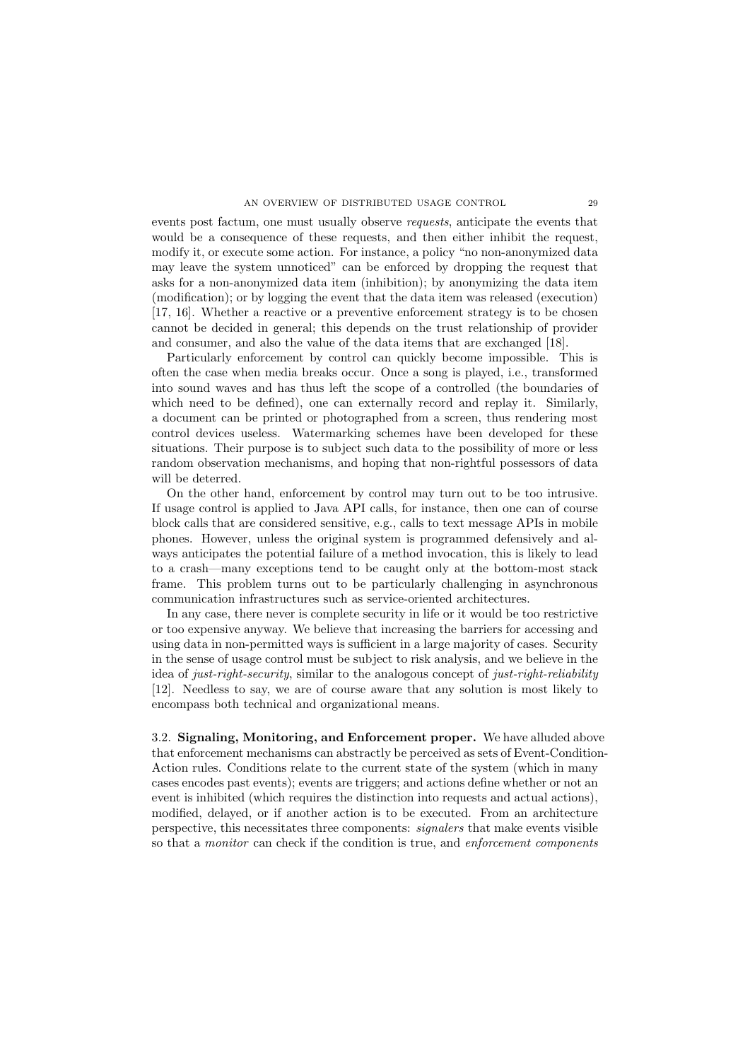events post factum, one must usually observe requests, anticipate the events that would be a consequence of these requests, and then either inhibit the request, modify it, or execute some action. For instance, a policy "no non-anonymized data may leave the system unnoticed" can be enforced by dropping the request that asks for a non-anonymized data item (inhibition); by anonymizing the data item (modification); or by logging the event that the data item was released (execution) [17, 16]. Whether a reactive or a preventive enforcement strategy is to be chosen cannot be decided in general; this depends on the trust relationship of provider and consumer, and also the value of the data items that are exchanged [18].

Particularly enforcement by control can quickly become impossible. This is often the case when media breaks occur. Once a song is played, i.e., transformed into sound waves and has thus left the scope of a controlled (the boundaries of which need to be defined), one can externally record and replay it. Similarly, a document can be printed or photographed from a screen, thus rendering most control devices useless. Watermarking schemes have been developed for these situations. Their purpose is to subject such data to the possibility of more or less random observation mechanisms, and hoping that non-rightful possessors of data will be deterred.

On the other hand, enforcement by control may turn out to be too intrusive. If usage control is applied to Java API calls, for instance, then one can of course block calls that are considered sensitive, e.g., calls to text message APIs in mobile phones. However, unless the original system is programmed defensively and always anticipates the potential failure of a method invocation, this is likely to lead to a crash—many exceptions tend to be caught only at the bottom-most stack frame. This problem turns out to be particularly challenging in asynchronous communication infrastructures such as service-oriented architectures.

In any case, there never is complete security in life or it would be too restrictive or too expensive anyway. We believe that increasing the barriers for accessing and using data in non-permitted ways is sufficient in a large majority of cases. Security in the sense of usage control must be subject to risk analysis, and we believe in the idea of just-right-security, similar to the analogous concept of just-right-reliability [12]. Needless to say, we are of course aware that any solution is most likely to encompass both technical and organizational means.

3.2. Signaling, Monitoring, and Enforcement proper. We have alluded above that enforcement mechanisms can abstractly be perceived as sets of Event-Condition-Action rules. Conditions relate to the current state of the system (which in many cases encodes past events); events are triggers; and actions define whether or not an event is inhibited (which requires the distinction into requests and actual actions), modified, delayed, or if another action is to be executed. From an architecture perspective, this necessitates three components: signalers that make events visible so that a monitor can check if the condition is true, and enforcement components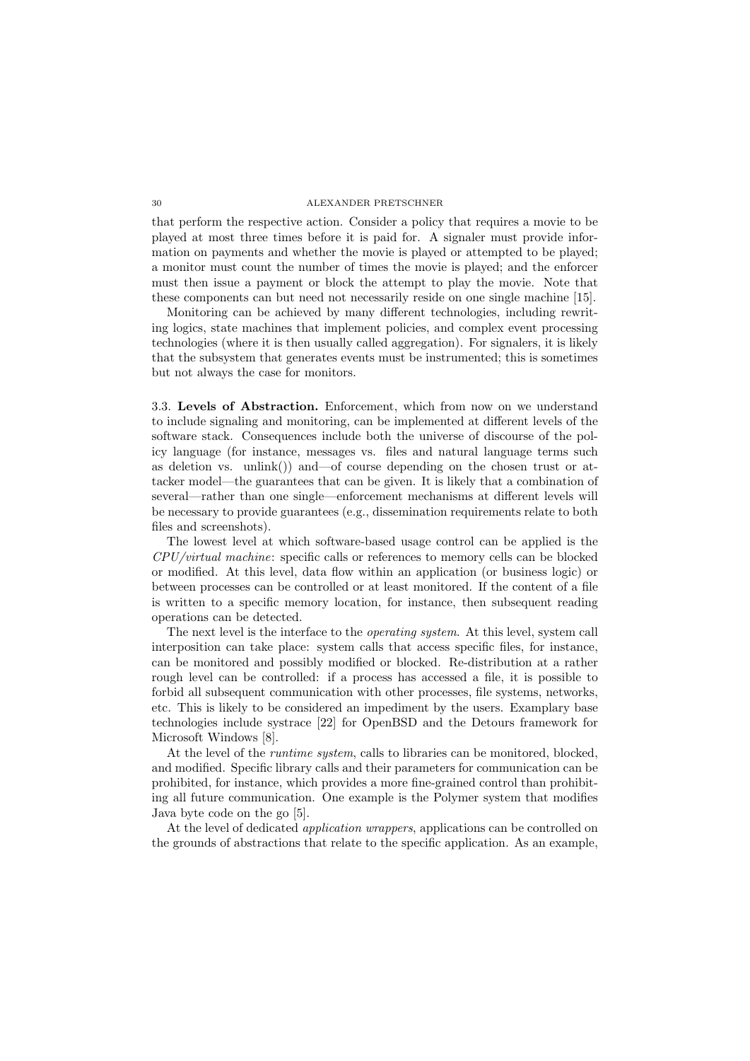that perform the respective action. Consider a policy that requires a movie to be played at most three times before it is paid for. A signaler must provide information on payments and whether the movie is played or attempted to be played; a monitor must count the number of times the movie is played; and the enforcer must then issue a payment or block the attempt to play the movie. Note that these components can but need not necessarily reside on one single machine [15].

Monitoring can be achieved by many different technologies, including rewriting logics, state machines that implement policies, and complex event processing technologies (where it is then usually called aggregation). For signalers, it is likely that the subsystem that generates events must be instrumented; this is sometimes but not always the case for monitors.

3.3. Levels of Abstraction. Enforcement, which from now on we understand to include signaling and monitoring, can be implemented at different levels of the software stack. Consequences include both the universe of discourse of the policy language (for instance, messages vs. files and natural language terms such as deletion vs. unlink()) and—of course depending on the chosen trust or attacker model—the guarantees that can be given. It is likely that a combination of several—rather than one single—enforcement mechanisms at different levels will be necessary to provide guarantees (e.g., dissemination requirements relate to both files and screenshots).

The lowest level at which software-based usage control can be applied is the CPU/virtual machine: specific calls or references to memory cells can be blocked or modified. At this level, data flow within an application (or business logic) or between processes can be controlled or at least monitored. If the content of a file is written to a specific memory location, for instance, then subsequent reading operations can be detected.

The next level is the interface to the *operating system*. At this level, system call interposition can take place: system calls that access specific files, for instance, can be monitored and possibly modified or blocked. Re-distribution at a rather rough level can be controlled: if a process has accessed a file, it is possible to forbid all subsequent communication with other processes, file systems, networks, etc. This is likely to be considered an impediment by the users. Examplary base technologies include systrace [22] for OpenBSD and the Detours framework for Microsoft Windows [8].

At the level of the *runtime system*, calls to libraries can be monitored, blocked, and modified. Specific library calls and their parameters for communication can be prohibited, for instance, which provides a more fine-grained control than prohibiting all future communication. One example is the Polymer system that modifies Java byte code on the go [5].

At the level of dedicated *application wrappers*, applications can be controlled on the grounds of abstractions that relate to the specific application. As an example,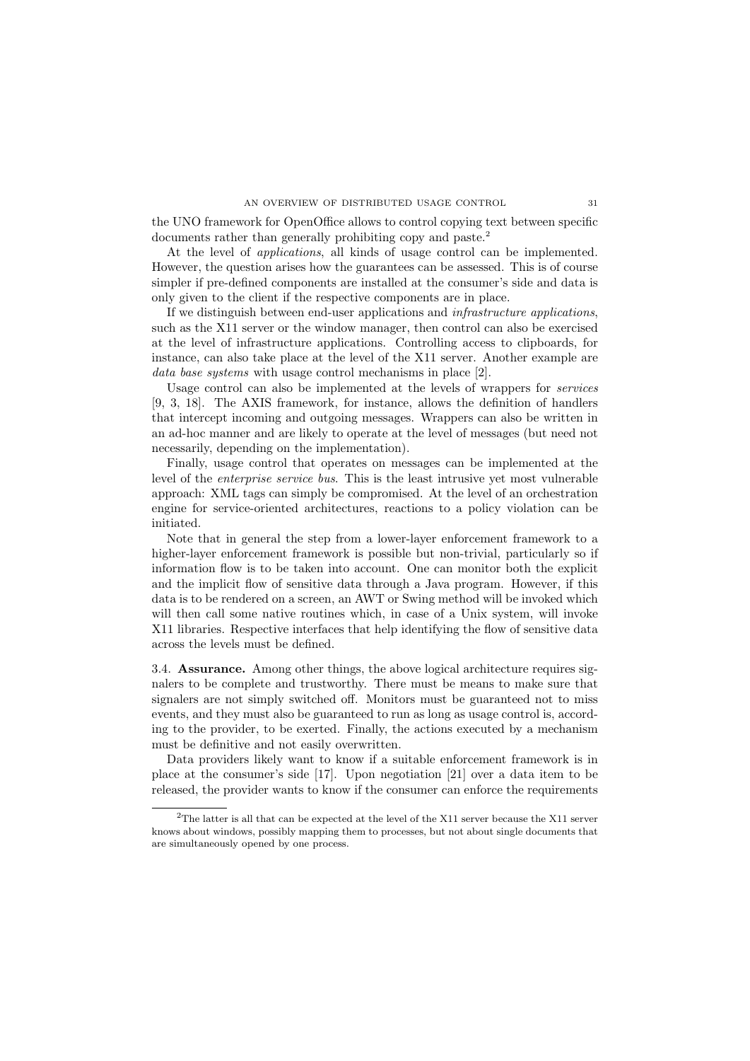#### AN OVERVIEW OF DISTRIBUTED USAGE CONTROL 31

the UNO framework for OpenOffice allows to control copying text between specific documents rather than generally prohibiting copy and paste.<sup>2</sup>

At the level of *applications*, all kinds of usage control can be implemented. However, the question arises how the guarantees can be assessed. This is of course simpler if pre-defined components are installed at the consumer's side and data is only given to the client if the respective components are in place.

If we distinguish between end-user applications and infrastructure applications, such as the X11 server or the window manager, then control can also be exercised at the level of infrastructure applications. Controlling access to clipboards, for instance, can also take place at the level of the X11 server. Another example are data base systems with usage control mechanisms in place [2].

Usage control can also be implemented at the levels of wrappers for services [9, 3, 18]. The AXIS framework, for instance, allows the definition of handlers that intercept incoming and outgoing messages. Wrappers can also be written in an ad-hoc manner and are likely to operate at the level of messages (but need not necessarily, depending on the implementation).

Finally, usage control that operates on messages can be implemented at the level of the enterprise service bus. This is the least intrusive yet most vulnerable approach: XML tags can simply be compromised. At the level of an orchestration engine for service-oriented architectures, reactions to a policy violation can be initiated.

Note that in general the step from a lower-layer enforcement framework to a higher-layer enforcement framework is possible but non-trivial, particularly so if information flow is to be taken into account. One can monitor both the explicit and the implicit flow of sensitive data through a Java program. However, if this data is to be rendered on a screen, an AWT or Swing method will be invoked which will then call some native routines which, in case of a Unix system, will invoke X11 libraries. Respective interfaces that help identifying the flow of sensitive data across the levels must be defined.

3.4. Assurance. Among other things, the above logical architecture requires signalers to be complete and trustworthy. There must be means to make sure that signalers are not simply switched off. Monitors must be guaranteed not to miss events, and they must also be guaranteed to run as long as usage control is, according to the provider, to be exerted. Finally, the actions executed by a mechanism must be definitive and not easily overwritten.

Data providers likely want to know if a suitable enforcement framework is in place at the consumer's side [17]. Upon negotiation [21] over a data item to be released, the provider wants to know if the consumer can enforce the requirements

<sup>&</sup>lt;sup>2</sup>The latter is all that can be expected at the level of the X11 server because the X11 server knows about windows, possibly mapping them to processes, but not about single documents that are simultaneously opened by one process.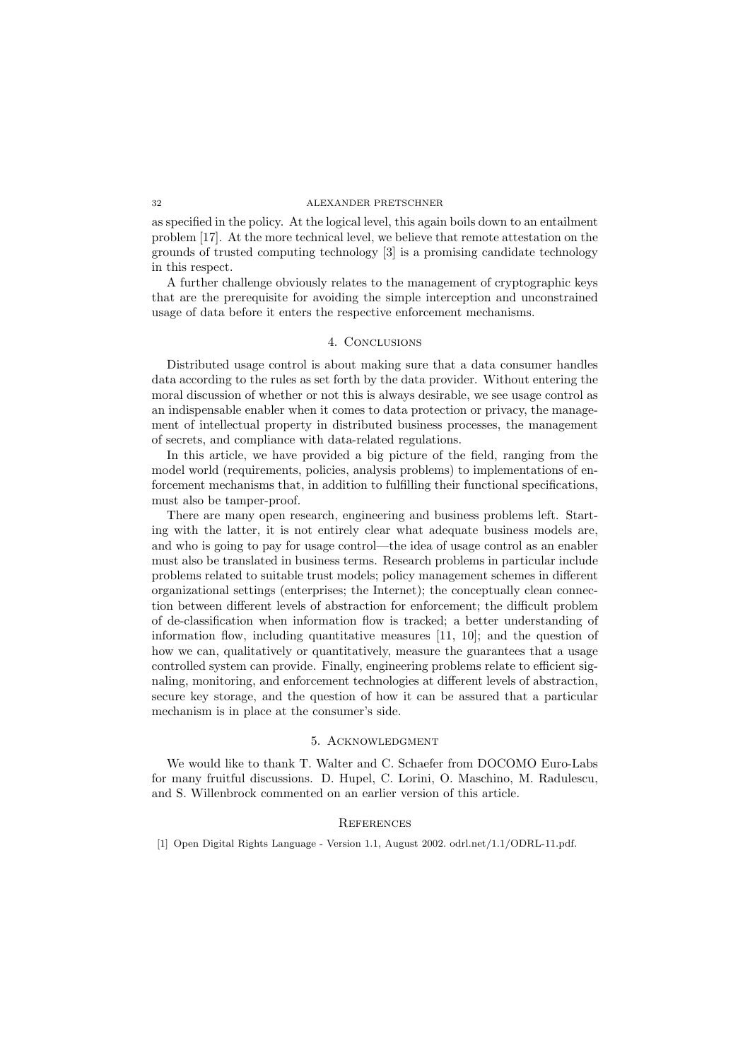as specified in the policy. At the logical level, this again boils down to an entailment problem [17]. At the more technical level, we believe that remote attestation on the grounds of trusted computing technology [3] is a promising candidate technology in this respect.

A further challenge obviously relates to the management of cryptographic keys that are the prerequisite for avoiding the simple interception and unconstrained usage of data before it enters the respective enforcement mechanisms.

## 4. Conclusions

Distributed usage control is about making sure that a data consumer handles data according to the rules as set forth by the data provider. Without entering the moral discussion of whether or not this is always desirable, we see usage control as an indispensable enabler when it comes to data protection or privacy, the management of intellectual property in distributed business processes, the management of secrets, and compliance with data-related regulations.

In this article, we have provided a big picture of the field, ranging from the model world (requirements, policies, analysis problems) to implementations of enforcement mechanisms that, in addition to fulfilling their functional specifications, must also be tamper-proof.

There are many open research, engineering and business problems left. Starting with the latter, it is not entirely clear what adequate business models are, and who is going to pay for usage control—the idea of usage control as an enabler must also be translated in business terms. Research problems in particular include problems related to suitable trust models; policy management schemes in different organizational settings (enterprises; the Internet); the conceptually clean connection between different levels of abstraction for enforcement; the difficult problem of de-classification when information flow is tracked; a better understanding of information flow, including quantitative measures [11, 10]; and the question of how we can, qualitatively or quantitatively, measure the guarantees that a usage controlled system can provide. Finally, engineering problems relate to efficient signaling, monitoring, and enforcement technologies at different levels of abstraction, secure key storage, and the question of how it can be assured that a particular mechanism is in place at the consumer's side.

# 5. Acknowledgment

We would like to thank T. Walter and C. Schaefer from DOCOMO Euro-Labs for many fruitful discussions. D. Hupel, C. Lorini, O. Maschino, M. Radulescu, and S. Willenbrock commented on an earlier version of this article.

## **REFERENCES**

[1] Open Digital Rights Language - Version 1.1, August 2002. odrl.net/1.1/ODRL-11.pdf.